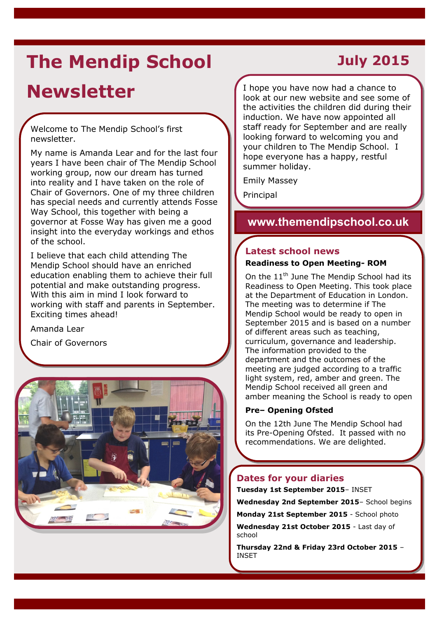# **The Mendip School**

## **Newsletter**

Welcome to The Mendip School's first newsletter.

My name is Amanda Lear and for the last four years I have been chair of The Mendip School working group, now our dream has turned into reality and I have taken on the role of Chair of Governors. One of my three children has special needs and currently attends Fosse Way School, this together with being a governor at Fosse Way has given me a good insight into the everyday workings and ethos of the school.

I believe that each child attending The Mendip School should have an enriched education enabling them to achieve their full potential and make outstanding progress. With this aim in mind I look forward to working with staff and parents in September. Exciting times ahead!

Amanda Lear

Chair of Governors



## **July 2015**

I hope you have now had a chance to look at our new website and see some of the activities the children did during their induction. We have now appointed all staff ready for September and are really looking forward to welcoming you and your children to The Mendip School. I hope everyone has a happy, restful summer holiday.

Emily Massey

Principal

### **www.themendipschool.co.uk**

### **Latest school news**

#### **Readiness to Open Meeting- ROM**

On the 11<sup>th</sup> June The Mendip School had its Readiness to Open Meeting. This took place at the Department of Education in London. The meeting was to determine if The Mendip School would be ready to open in September 2015 and is based on a number of different areas such as teaching, curriculum, governance and leadership. The information provided to the department and the outcomes of the meeting are judged according to a traffic light system, red, amber and green. The Mendip School received all green and amber meaning the School is ready to open

#### **Pre– Opening Ofsted**

On the 12th June The Mendip School had its Pre-Opening Ofsted. It passed with no recommendations. We are delighted.

### **Dates for your diaries**

**Tuesday 1st September 2015**– INSET

**Wednesday 2nd September 2015**– School begins

**Monday 21st September 2015** - School photo

**Wednesday 21st October 2015** - Last day of school

**Thursday 22nd & Friday 23rd October 2015** – INSET